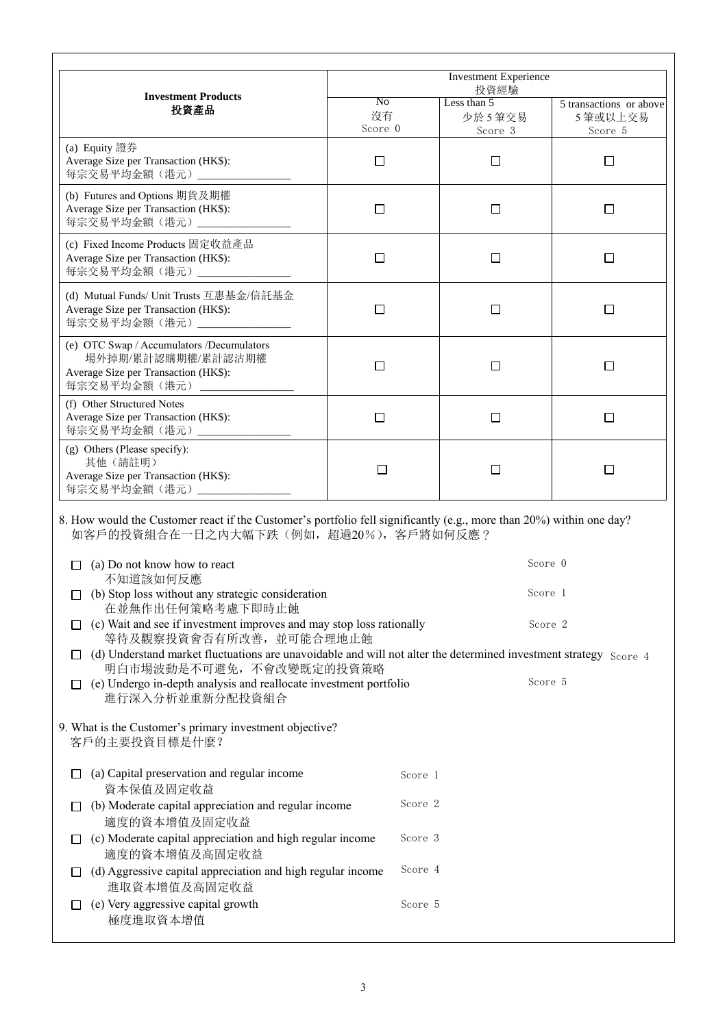|                                                                                                                                                                                                                                                               | <b>Investment Experience</b><br>投資經驗 |                                               |                                                |
|---------------------------------------------------------------------------------------------------------------------------------------------------------------------------------------------------------------------------------------------------------------|--------------------------------------|-----------------------------------------------|------------------------------------------------|
| <b>Investment Products</b><br>投資產品                                                                                                                                                                                                                            | No<br>沒有<br>Score 0                  | Less than 5 transactions<br>少於5筆交易<br>Score 3 | 5 transactions or above<br>5 筆或以上交易<br>Score 5 |
| (a) Equity 證券<br>Average Size per Transaction (HK\$):<br>每宗交易平均金額(港元)                                                                                                                                                                                         | □                                    | ப                                             | $\Box$                                         |
| (b) Futures and Options 期貨及期權<br>Average Size per Transaction (HK\$):<br>每宗交易平均金額(港元)____________                                                                                                                                                             | □                                    | □                                             | □                                              |
| (c) Fixed Income Products 固定收益產品<br>Average Size per Transaction (HK\$):<br>每宗交易平均金額 (港元) _________                                                                                                                                                           | $\Box$                               | $\Box$                                        | $\Box$                                         |
| (d) Mutual Funds/ Unit Trusts 互惠基金/信託基金<br>Average Size per Transaction (HK\$):<br>每宗交易平均金額(港元)_________________                                                                                                                                              | □                                    | □                                             | □                                              |
| (e) OTC Swap / Accumulators /Decumulators<br>場外掉期/累計認購期權/累計認沽期權<br>Average Size per Transaction (HK\$):<br>每宗交易平均金額(港元)                                                                                                                                       | □                                    | ⊔                                             | □                                              |
| (f) Other Structured Notes<br>Average Size per Transaction (HK\$):<br>每宗交易平均金額(港元)___                                                                                                                                                                         | □                                    | □                                             | □                                              |
| (g) Others (Please specify):<br>其他 (請註明)<br>Average Size per Transaction (HK\$):<br>每宗交易平均金額(港元)____                                                                                                                                                          | □                                    | □                                             | □                                              |
| 8. How would the Customer react if the Customer's portfolio fell significantly (e.g., more than 20%) within one day?<br>如客戶的投資組合在一日之內大幅下跌(例如,超過20%), 客戶將如何反應?                                                                                                 |                                      |                                               |                                                |
| (a) Do not know how to react<br>П<br>不知道該如何反應                                                                                                                                                                                                                 |                                      | Score 0                                       |                                                |
| Score 1<br>$\Box$ (b) Stop loss without any strategic consideration<br>在並無作出任何策略考慮下即時止蝕                                                                                                                                                                       |                                      |                                               |                                                |
| $\Box$ (c) Wait and see if investment improves and may stop loss rationally<br>等待及觀察投資會否有所改善, 並可能合理地止蝕                                                                                                                                                        |                                      | Score 2                                       |                                                |
| $\Box$ (d) Understand market fluctuations are unavoidable and will not alter the determined investment strategy Score 4<br>明白市場波動是不可避免, 不會改變既定的投資策略<br>Score 5<br>$\Box$ (e) Undergo in-depth analysis and reallocate investment portfolio<br>進行深入分析並重新分配投資組合 |                                      |                                               |                                                |
| 9. What is the Customer's primary investment objective?<br>客戶的主要投資目標是什麼?                                                                                                                                                                                      |                                      |                                               |                                                |
| (a) Capital preservation and regular income<br>$\Box$<br>資本保值及固定收益                                                                                                                                                                                            | Score 1                              |                                               |                                                |
| (b) Moderate capital appreciation and regular income<br>$\Box$<br>適度的資本增值及固定收益                                                                                                                                                                                | Score 2                              |                                               |                                                |
| $\Box$ (c) Moderate capital appreciation and high regular income<br>適度的資本增值及高固定收益                                                                                                                                                                             | Score 3                              |                                               |                                                |
| $\Box$ (d) Aggressive capital appreciation and high regular income<br>進取資本增值及高固定收益                                                                                                                                                                            | Score 4                              |                                               |                                                |
| (e) Very aggressive capital growth<br>極度進取資本增值                                                                                                                                                                                                                | Score 5                              |                                               |                                                |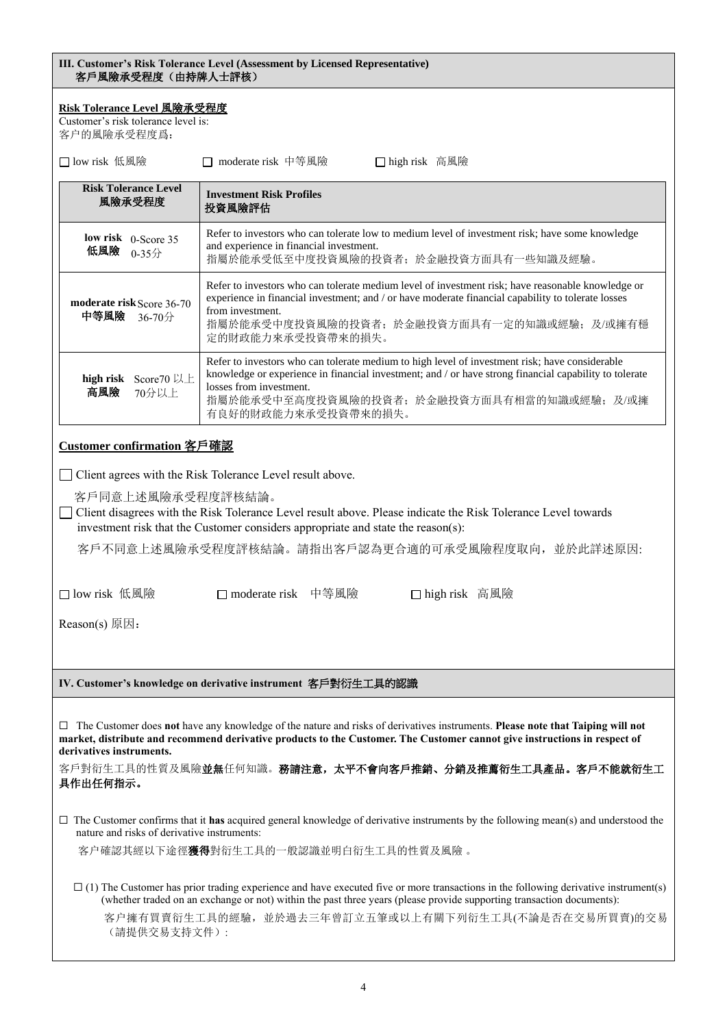| III. Customer's Risk Tolerance Level (Assessment by Licensed Representative)<br>客戶風險承受程度(由持牌人士評核)                                                                                                                                                                                                                                            |                                                                                                                                                                                                                                                                                                         |  |  |
|----------------------------------------------------------------------------------------------------------------------------------------------------------------------------------------------------------------------------------------------------------------------------------------------------------------------------------------------|---------------------------------------------------------------------------------------------------------------------------------------------------------------------------------------------------------------------------------------------------------------------------------------------------------|--|--|
| Risk Tolerance Level 風險承受程度<br>Customer's risk tolerance level is:<br>客户的風險承受程度爲:                                                                                                                                                                                                                                                            |                                                                                                                                                                                                                                                                                                         |  |  |
| □ low risk 低風險                                                                                                                                                                                                                                                                                                                               | □ moderate risk 中等風險<br>□ high risk 高風險                                                                                                                                                                                                                                                                 |  |  |
| <b>Risk Tolerance Level</b><br>風險承受程度                                                                                                                                                                                                                                                                                                        | <b>Investment Risk Profiles</b><br>投資風險評估                                                                                                                                                                                                                                                               |  |  |
| low risk $0$ -Score 35<br>低風險<br>$0-35$ 分                                                                                                                                                                                                                                                                                                    | Refer to investors who can tolerate low to medium level of investment risk; have some knowledge<br>and experience in financial investment.<br>指屬於能承受低至中度投資風險的投資者;於金融投資方面具有一些知識及經驗。                                                                                                                      |  |  |
| Refer to investors who can tolerate medium level of investment risk; have reasonable knowledge or<br>experience in financial investment; and / or have moderate financial capability to tolerate losses<br>moderate risk Score 36-70<br>from investment.<br>中等風險<br>36-70分<br>指屬於能承受中度投資風險的投資者;於金融投資方面具有一定的知識或經驗;及/或擁有穩<br>定的財政能力來承受投資帶來的損失。 |                                                                                                                                                                                                                                                                                                         |  |  |
| high risk Score70 以上<br>高風險<br>70分以上                                                                                                                                                                                                                                                                                                         | Refer to investors who can tolerate medium to high level of investment risk; have considerable<br>knowledge or experience in financial investment; and / or have strong financial capability to tolerate<br>losses from investment.<br>指屬於能承受中至高度投資風險的投資者;於金融投資方面具有相當的知識或經驗;及/或擁<br>有良好的財政能力來承受投資帶來的損失。 |  |  |
| Customer confirmation 客戶確認                                                                                                                                                                                                                                                                                                                   |                                                                                                                                                                                                                                                                                                         |  |  |
| Client agrees with the Risk Tolerance Level result above.<br>客戶同意上述風險承受程度評核結論。<br>Client disagrees with the Risk Tolerance Level result above. Please indicate the Risk Tolerance Level towards<br>investment risk that the Customer considers appropriate and state the reason(s):                                                          |                                                                                                                                                                                                                                                                                                         |  |  |
|                                                                                                                                                                                                                                                                                                                                              | 客戶不同意上述風險承受程度評核結論。請指出客戶認為更合適的可承受風險程度取向,並於此詳述原因:                                                                                                                                                                                                                                                         |  |  |
| □ low risk 低風險                                                                                                                                                                                                                                                                                                                               | □ moderate risk 中等風險<br>□ high risk 高風險                                                                                                                                                                                                                                                                 |  |  |
| Reason(s) 原因:                                                                                                                                                                                                                                                                                                                                |                                                                                                                                                                                                                                                                                                         |  |  |
|                                                                                                                                                                                                                                                                                                                                              |                                                                                                                                                                                                                                                                                                         |  |  |
|                                                                                                                                                                                                                                                                                                                                              | IV. Customer's knowledge on derivative instrument 客戶對衍生工具的認識                                                                                                                                                                                                                                            |  |  |
| The Customer does not have any knowledge of the nature and risks of derivatives instruments. Please note that Taiping will not<br>ш<br>market, distribute and recommend derivative products to the Customer. The Customer cannot give instructions in respect of<br>derivatives instruments.                                                 |                                                                                                                                                                                                                                                                                                         |  |  |
| 具作出任何指示。                                                                                                                                                                                                                                                                                                                                     | 客戶對衍生工具的性質及風險並無任何知識。務請注意,太平不會向客戶推銷、分銷及推薦衍生工具產品。客戶不能就衍生工                                                                                                                                                                                                                                                 |  |  |
| nature and risks of derivative instruments:                                                                                                                                                                                                                                                                                                  | $\Box$ The Customer confirms that it has acquired general knowledge of derivative instruments by the following mean(s) and understood the                                                                                                                                                               |  |  |
| 客户確認其經以下途徑 <b>獲得</b> 對衍生工具的一般認識並明白衍生工具的性質及風險。                                                                                                                                                                                                                                                                                                |                                                                                                                                                                                                                                                                                                         |  |  |
| $\Box$ (1) The Customer has prior trading experience and have executed five or more transactions in the following derivative instrument(s)<br>(whether traded on an exchange or not) within the past three years (please provide supporting transaction documents):                                                                          |                                                                                                                                                                                                                                                                                                         |  |  |
| 客户擁有買賣衍生工具的經驗, 並於過去三年曾訂立五筆或以上有關下列衍生工具(不論是否在交易所買賣)的交易<br>(請提供交易支持文件):                                                                                                                                                                                                                                                                         |                                                                                                                                                                                                                                                                                                         |  |  |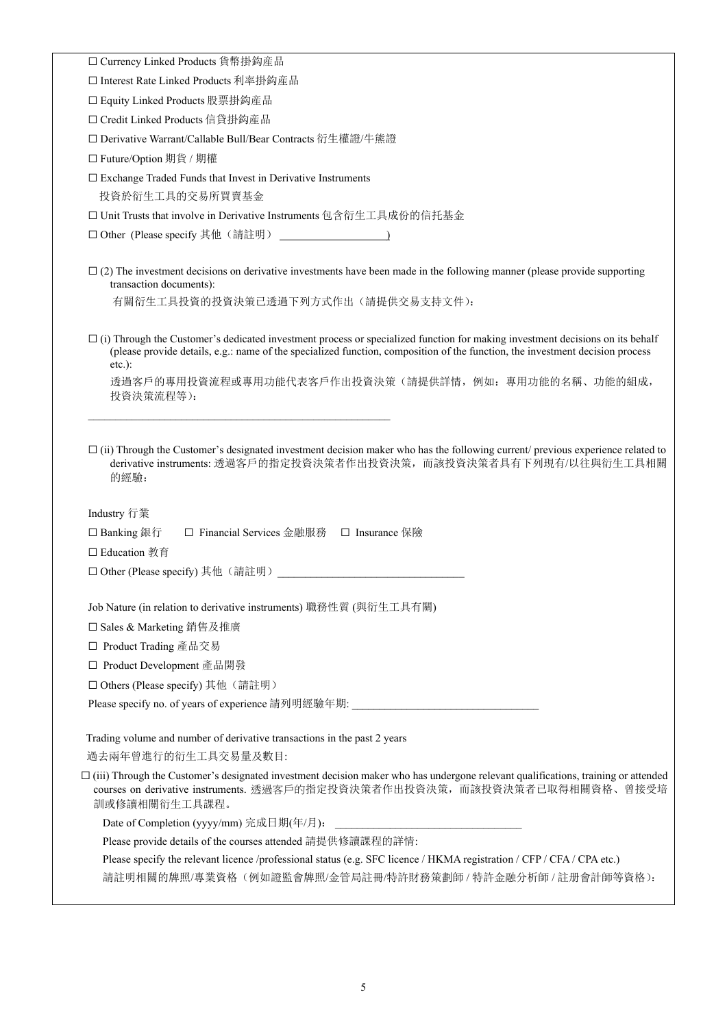☐ Currency Linked Products 貨幣掛鈎産品

☐ Interest Rate Linked Products 利率掛鈎産品

☐ Equity Linked Products 股票掛鈎産品

☐ Credit Linked Products 信貸掛鈎産品

☐ Derivative Warrant/Callable Bull/Bear Contracts 衍生權證/牛熊證

☐ Future/Option 期貨 / 期權

 $\Box$  Exchange Traded Funds that Invest in Derivative Instruments

投資於衍生工具的交易所買賣基金

□ Unit Trusts that involve in Derivative Instruments 包含衍生工具成份的信托基金

□ Other (Please specify 其他(請註明) )

 $\Box$  (2) The investment decisions on derivative investments have been made in the following manner (please provide supporting transaction documents):

有關衍生工具投資的投資決策已透過下列方式作出(請提供交易支持文件):

 $\Box$  (i) Through the Customer's dedicated investment process or specialized function for making investment decisions on its behalf (please provide details, e.g.: name of the specialized function, composition of the function, the investment decision process etc.):

 透過客戶的專用投資流程或專用功能代表客戶作出投資決策(請提供詳情,例如:專用功能的名稱、功能的組成, 投資決策流程等):

 $\Box$  (ii) Through the Customer's designated investment decision maker who has the following current/ previous experience related to derivative instruments: 透過客戶的指定投資決策者作出投資決策, 而該投資決策者具有下列現有/以往與衍生工具相關 的經驗:

Industry 行業

☐ Banking 銀行 ☐ Financial Services 金融服務 ☐ Insurance 保險

□ Education 教育

□ Other (Please specify) 其他(請註明)

Job Nature (in relation to derivative instruments) 職務性質 (與衍生工具有關)

☐ Sales & Marketing 銷售及推廣

☐ Product Trading 產品交易

☐ Product Development 產品開發

□ Others (Please specify) 其他(請註明)

Please specify no. of years of experience 請列明經驗年期:

Trading volume and number of derivative transactions in the past 2 years

過去兩年曾進行的衍生工具交易量及數目:

 $\Box$  (iii) Through the Customer's designated investment decision maker who has undergone relevant qualifications, training or attended courses on derivative instruments. 透過客戶的指定投資決策者作出投資決策,而該投資決策者已取得相關資格、曾接受培 訓或修讀相關衍生工具課程。

Date of Completion (yyyy/mm) 完成日期(年/月):

Please provide details of the courses attended 請提供修讀課程的詳情:

Please specify the relevant licence /professional status (e.g. SFC licence / HKMA registration / CFP / CFA / CPA etc.)